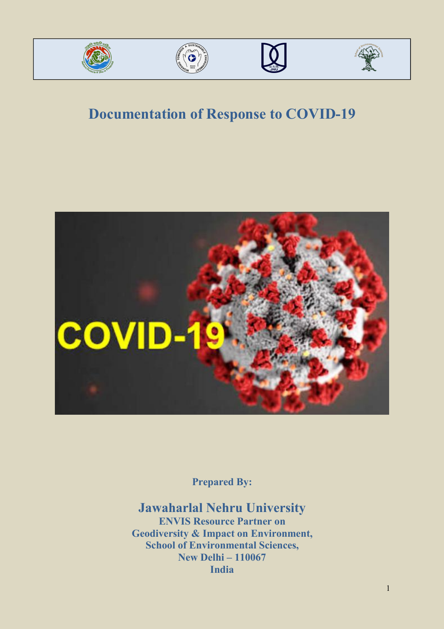







# **Documentation of Response to COVID-19**



**Prepared By:**

**Jawaharlal Nehru University ENVIS Resource Partner on Geodiversity & Impact on Environment, School of Environmental Sciences, New Delhi – 110067 India**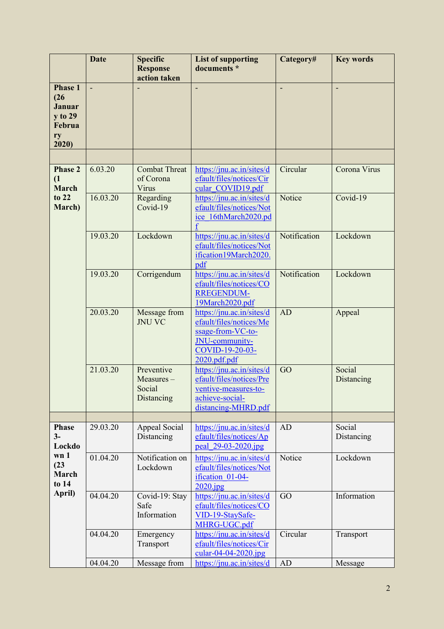|                                                                             | <b>Date</b> | <b>Specific</b><br><b>Response</b><br>action taken | <b>List of supporting</b><br>documents *                                                                                       | Category#    | <b>Key words</b>     |
|-----------------------------------------------------------------------------|-------------|----------------------------------------------------|--------------------------------------------------------------------------------------------------------------------------------|--------------|----------------------|
| <b>Phase 1</b><br>(26)<br><b>Januar</b><br>y to 29<br>Februa<br>ry<br>2020) |             |                                                    |                                                                                                                                |              |                      |
|                                                                             |             |                                                    |                                                                                                                                |              |                      |
| <b>Phase 2</b><br>(1)<br><b>March</b>                                       | 6.03.20     | <b>Combat Threat</b><br>of Corona<br>Virus         | https://jnu.ac.in/sites/d<br>efault/files/notices/Cir<br>cular COVID19.pdf                                                     | Circular     | Corona Virus         |
| to 22<br>March)                                                             | 16.03.20    | Regarding<br>Covid-19                              | https://jnu.ac.in/sites/d<br>efault/files/notices/Not<br>ice 16thMarch2020.pd                                                  | Notice       | Covid-19             |
|                                                                             | 19.03.20    | Lockdown                                           | https://jnu.ac.in/sites/d<br>efault/files/notices/Not<br>ification19March2020.<br>pdf                                          | Notification | Lockdown             |
|                                                                             | 19.03.20    | Corrigendum                                        | https://jnu.ac.in/sites/d<br>efault/files/notices/CO<br><b>RREGENDUM-</b><br>19March2020.pdf                                   | Notification | Lockdown             |
|                                                                             | 20.03.20    | Message from<br><b>JNU VC</b>                      | https://jnu.ac.in/sites/d<br>efault/files/notices/Me<br>ssage-from-VC-to-<br>JNU-community-<br>COVID-19-20-03-<br>2020.pdf.pdf | AD           | Appeal               |
|                                                                             | 21.03.20    | Preventive<br>Measures-<br>Social<br>Distancing    | https://jnu.ac.in/sites/d<br>efault/files/notices/Pre<br>ventive-measures-to-<br>achieve-social-<br>distancing-MHRD.pdf        | GO           | Social<br>Distancing |
|                                                                             |             |                                                    |                                                                                                                                |              |                      |
| <b>Phase</b><br>$3-$<br>Lockdo                                              | 29.03.20    | Appeal Social<br>Distancing                        | https://jnu.ac.in/sites/d<br>efault/files/notices/Ap<br>peal 29-03-2020.jpg                                                    | AD           | Social<br>Distancing |
| wn 1<br>(23)<br>March<br>to 14                                              | 01.04.20    | Notification on<br>Lockdown                        | https://jnu.ac.in/sites/d<br>efault/files/notices/Not<br>ification 01-04-<br>$2020$ .jpg                                       | Notice       | Lockdown             |
| April)                                                                      | 04.04.20    | Covid-19: Stay<br>Safe<br>Information              | https://jnu.ac.in/sites/d<br>efault/files/notices/CO<br>VID-19-StaySafe-<br>MHRG-UGC.pdf                                       | GO           | Information          |
|                                                                             | 04.04.20    | Emergency<br>Transport                             | https://jnu.ac.in/sites/d<br>efault/files/notices/Cir<br>$\frac{\text{cular}-04-04-2020.\text{ipg}}{200}$                      | Circular     | Transport            |
|                                                                             | 04.04.20    | Message from                                       | https://jnu.ac.in/sites/d                                                                                                      | AD           | Message              |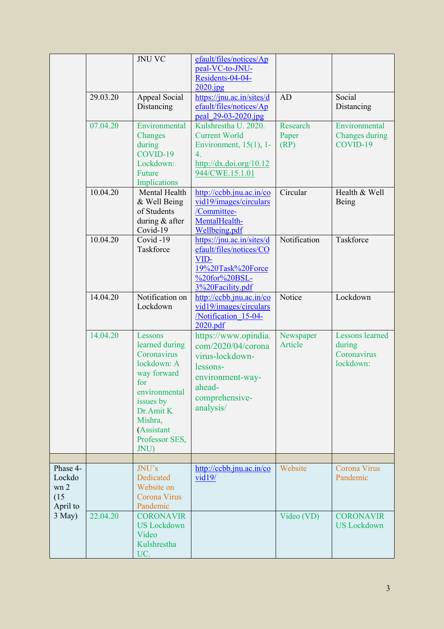|                                                |          | <b>JNU VC</b>                                                                                                                                                               | efault/files/notices/Ap<br>peal-VC-to-JNU-<br>Residents-04-04-<br>$2020$ .jpg                                                                                                 |                           |                                                              |
|------------------------------------------------|----------|-----------------------------------------------------------------------------------------------------------------------------------------------------------------------------|-------------------------------------------------------------------------------------------------------------------------------------------------------------------------------|---------------------------|--------------------------------------------------------------|
|                                                | 29.03.20 | Appeal Social<br>Distancing                                                                                                                                                 | https://jnu.ac.in/sites/d<br>efault/files/notices/Ap<br>peal 29-03-2020.jpg                                                                                                   | AD                        | Social<br>Distancing                                         |
|                                                | 07.04.20 | Environmental<br>Changes<br>during<br>COVID-19<br>Lockdown:<br>Future<br>Implications                                                                                       | Kulshrestha U. 2020.<br><b>Current World</b><br>Environment, $15(1)$ , 1-<br>$\overline{4}$ .<br>$\frac{http://dx.doi.org/10.12}{http://dx.doi.org/10.12}$<br>944/CWE.15.1.01 | Research<br>Paper<br>(RP) | Environmental<br>Changes during<br>COVID-19                  |
|                                                | 10.04.20 | Mental Health<br>& Well Being<br>of Students<br>during & after<br>Covid-19                                                                                                  | http://ccbb.jnu.ac.in/co<br>vid19/images/circulars<br>/Committee-<br>MentalHealth-<br>Wellbeing.pdf                                                                           | Circular                  | Health & Well<br>Being                                       |
|                                                | 10.04.20 | Covid-19<br>Taskforce                                                                                                                                                       | https://jnu.ac.in/sites/d<br>efault/files/notices/CO<br>VID-<br>19%20Task%20Force<br>%20for%20BSL-<br>3%20Facility.pdf                                                        | Notification              | Taskforce                                                    |
|                                                | 14.04.20 | Notification on<br>Lockdown                                                                                                                                                 | http://ccbb.jnu.ac.in/co<br>vid19/images/circulars<br>/Notification 15-04-<br>2020.pdf                                                                                        | Notice                    | Lockdown                                                     |
|                                                | 14.04.20 | Lessons<br>learned during<br>Coronavirus<br>lockdown: A<br>way forward<br>for<br>environmental<br>issues by<br>Dr.Amit K<br>Mishra,<br>(Assistant<br>Professor SES,<br>JNU) | https://www.opindia.<br>com/2020/04/corona<br>virus-lockdown-<br>lessons-<br>environment-way-<br>ahead-<br>comprehensive-<br>analysis/                                        | Newspaper<br>Article      | <b>Lessons learned</b><br>during<br>Coronavirus<br>lockdown: |
| Phase 4-<br>Lockdo<br>wn 2<br>(15)<br>April to |          | JNU's<br>Dedicated<br>Website on<br>Corona Virus<br>Pandemic                                                                                                                | http://ccbb.jnu.ac.in/co<br>vid19/                                                                                                                                            | Website                   | Corona Virus<br>Pandemic                                     |
| 3 May)                                         | 22.04.20 | <b>CORONAVIR</b><br><b>US</b> Lockdown<br>Video<br>Kulshrestha<br>UC.                                                                                                       |                                                                                                                                                                               | Video (VD)                | <b>CORONAVIR</b><br><b>US</b> Lockdown                       |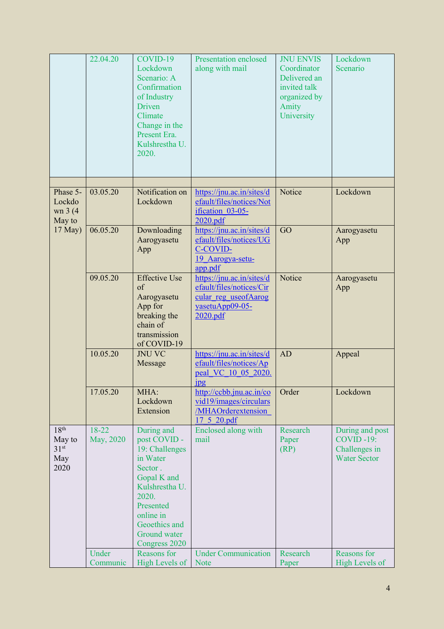|                                                               | 22.04.20           | COVID-19<br>Lockdown<br>Scenario: A<br>Confirmation<br>of Industry<br>Driven<br>Climate<br>Change in the<br>Present Era.<br>Kulshrestha U.<br>2020.                                       | <b>Presentation enclosed</b><br>along with mail                                                              | <b>JNU ENVIS</b><br>Coordinator<br>Delivered an<br>invited talk<br>organized by<br>Amity<br>University | Lockdown<br>Scenario                                                    |
|---------------------------------------------------------------|--------------------|-------------------------------------------------------------------------------------------------------------------------------------------------------------------------------------------|--------------------------------------------------------------------------------------------------------------|--------------------------------------------------------------------------------------------------------|-------------------------------------------------------------------------|
| Phase 5-<br>Lockdo<br>wn 3 (4)<br>May to                      | 03.05.20           | Notification on<br>Lockdown                                                                                                                                                               | https://jnu.ac.in/sites/d<br>efault/files/notices/Not<br>ification 03-05-<br>2020.pdf                        | Notice                                                                                                 | Lockdown                                                                |
| 17 May)                                                       | 06.05.20           | Downloading<br>Aarogyasetu<br>App                                                                                                                                                         | https://jnu.ac.in/sites/d<br>efault/files/notices/UG<br>C-COVID-<br>19 Aarogya-setu-<br>app.pdf              | GO                                                                                                     | Aarogyasetu<br>App                                                      |
|                                                               | 09.05.20           | <b>Effective Use</b><br>of<br>Aarogyasetu<br>App for<br>breaking the<br>chain of<br>transmission<br>of COVID-19                                                                           | https://jnu.ac.in/sites/d<br>efault/files/notices/Cir<br>cular reg useofAarog<br>yasetuApp09-05-<br>2020.pdf | Notice                                                                                                 | Aarogyasetu<br>App                                                      |
|                                                               | 10.05.20           | <b>JNU VC</b><br>Message                                                                                                                                                                  | https://jnu.ac.in/sites/d<br>efault/files/notices/Ap<br>peal VC 10 05 2020.<br>$\frac{1}{2}$                 | AD                                                                                                     | Appeal                                                                  |
|                                                               | 17.05.20           | MHA:<br>Lockdown<br>Extension                                                                                                                                                             | http://ccbb.jnu.ac.in/co<br>vid19/images/circulars<br><b>MHAOrderextension</b><br>17 5 20.pdf                | Order                                                                                                  | Lockdown                                                                |
| 18 <sup>th</sup><br>May to<br>31 <sup>st</sup><br>May<br>2020 | 18-22<br>May, 2020 | During and<br>post COVID -<br>19: Challenges<br>in Water<br>Sector.<br>Gopal K and<br>Kulshrestha U.<br>2020.<br>Presented<br>online in<br>Geoethics and<br>Ground water<br>Congress 2020 | Enclosed along with<br>mail                                                                                  | Research<br>Paper<br>(RP)                                                                              | During and post<br>$COVID -19:$<br>Challenges in<br><b>Water Sector</b> |
|                                                               | Under<br>Communic  | Reasons for<br><b>High Levels of</b>                                                                                                                                                      | <b>Under Communication</b><br><b>Note</b>                                                                    | Research<br>Paper                                                                                      | Reasons for<br><b>High Levels of</b>                                    |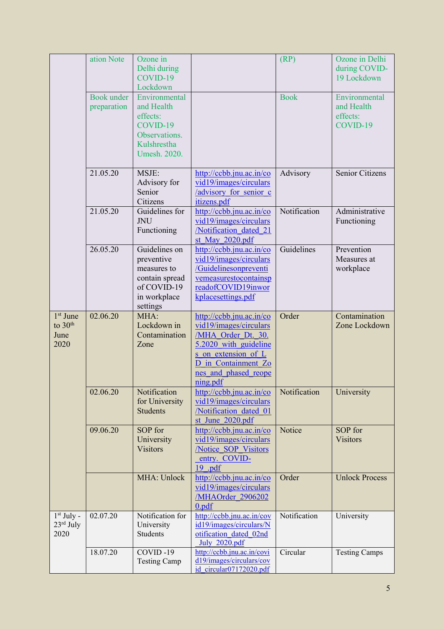|                                                             | ation Note                | Ozone in<br>Delhi during<br>COVID-19<br>Lockdown                                                        |                                                                                                                                                                                     | (RP)         | Ozone in Delhi<br>during COVID-<br>19 Lockdown      |
|-------------------------------------------------------------|---------------------------|---------------------------------------------------------------------------------------------------------|-------------------------------------------------------------------------------------------------------------------------------------------------------------------------------------|--------------|-----------------------------------------------------|
|                                                             | Book under<br>preparation | Environmental<br>and Health<br>effects:<br>COVID-19<br>Observations.<br>Kulshrestha<br>Umesh. 2020.     |                                                                                                                                                                                     | <b>Book</b>  | Environmental<br>and Health<br>effects:<br>COVID-19 |
|                                                             | 21.05.20                  | MSJE:<br>Advisory for<br>Senior<br>Citizens                                                             | http://ccbb.jnu.ac.in/co<br>vid19/images/circulars<br>/advisory for senior c<br>itizens.pdf                                                                                         | Advisory     | Senior Citizens                                     |
|                                                             | 21.05.20                  | Guidelines for<br><b>JNU</b><br>Functioning                                                             | http://ccbb.jnu.ac.in/co<br>vid19/images/circulars<br>/Notification dated 21<br>st May 2020.pdf                                                                                     | Notification | Administrative<br>Functioning                       |
|                                                             | 26.05.20                  | Guidelines on<br>preventive<br>measures to<br>contain spread<br>of COVID-19<br>in workplace<br>settings | http://ccbb.jnu.ac.in/co<br>vid19/images/circulars<br>/Guidelinesonpreventi<br>vemeasurestocontainsp<br>readofCOVID19inwor<br>kplacesettings.pdf                                    | Guidelines   | Prevention<br>Measures at<br>workplace              |
| 1 <sup>st</sup> June<br>to 30 <sup>th</sup><br>June<br>2020 | 02.06.20                  | MHA:<br>Lockdown in<br>Contamination<br>Zone                                                            | http://ccbb.jnu.ac.in/co<br>vid19/images/circulars<br>/MHA Order Dt. 30.<br>5.2020 with guideline<br>s on extension of L<br>D in Containment Zo<br>nes and phased reope<br>ning.pdf | Order        | Contamination<br>Zone Lockdown                      |
|                                                             | 02.06.20                  | Notification<br>for University<br><b>Students</b>                                                       | http://ccbb.jnu.ac.in/co<br>vid19/images/circulars<br>/Notification dated 01<br>st June 2020.pdf                                                                                    | Notification | University                                          |
|                                                             | 09.06.20                  | SOP for<br>University<br><b>Visitors</b>                                                                | http://ccbb.jnu.ac.in/co<br>vid19/images/circulars<br>/Notice SOP Visitors<br>entry. COVID-<br>19 .pdf                                                                              | Notice       | SOP for<br><b>Visitors</b>                          |
|                                                             |                           | MHA: Unlock                                                                                             | http://ccbb.jnu.ac.in/co<br>vid19/images/circulars<br>/MHAOrder 2906202<br>0.pdf                                                                                                    | Order        | <b>Unlock Process</b>                               |
| $1st$ July -<br>23rd July<br>2020                           | 02.07.20                  | Notification for<br>University<br>Students                                                              | http://ccbb.jnu.ac.in/cov<br>id19/images/circulars/N<br>otification dated 02nd<br>July 2020.pdf                                                                                     | Notification | University                                          |
|                                                             | 18.07.20                  | COVID-19<br><b>Testing Camp</b>                                                                         | http://ccbb.jnu.ac.in/covi<br>d19/images/circulars/cov<br>id circular07172020.pdf                                                                                                   | Circular     | <b>Testing Camps</b>                                |